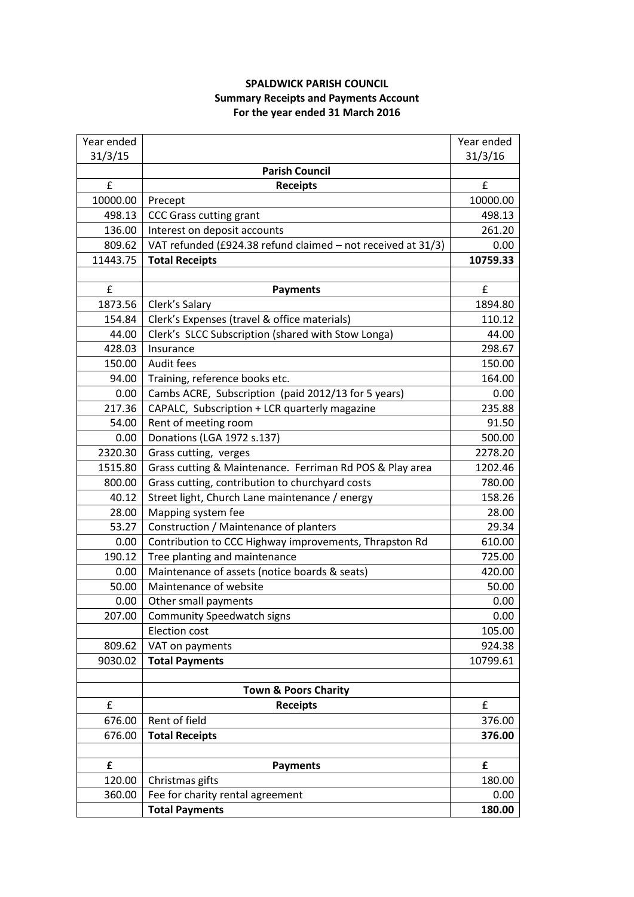## **SPALDWICK PARISH COUNCIL Summary Receipts and Payments Account For the year ended 31 March 2016**

| Year ended |                                                              | Year ended |
|------------|--------------------------------------------------------------|------------|
| 31/3/15    |                                                              | 31/3/16    |
|            | <b>Parish Council</b>                                        |            |
| £          | <b>Receipts</b>                                              | £          |
| 10000.00   | Precept                                                      | 10000.00   |
| 498.13     | <b>CCC Grass cutting grant</b>                               | 498.13     |
| 136.00     | Interest on deposit accounts                                 | 261.20     |
| 809.62     | VAT refunded (£924.38 refund claimed - not received at 31/3) | 0.00       |
| 11443.75   | <b>Total Receipts</b>                                        | 10759.33   |
|            |                                                              |            |
| £          | <b>Payments</b>                                              | £          |
| 1873.56    | Clerk's Salary                                               | 1894.80    |
| 154.84     | Clerk's Expenses (travel & office materials)                 | 110.12     |
| 44.00      | Clerk's SLCC Subscription (shared with Stow Longa)           | 44.00      |
| 428.03     | Insurance                                                    | 298.67     |
| 150.00     | Audit fees                                                   | 150.00     |
| 94.00      | Training, reference books etc.                               | 164.00     |
| 0.00       | Cambs ACRE, Subscription (paid 2012/13 for 5 years)          | 0.00       |
| 217.36     | CAPALC, Subscription + LCR quarterly magazine                | 235.88     |
| 54.00      | Rent of meeting room                                         | 91.50      |
| 0.00       | Donations (LGA 1972 s.137)                                   | 500.00     |
| 2320.30    | Grass cutting, verges                                        | 2278.20    |
| 1515.80    | Grass cutting & Maintenance. Ferriman Rd POS & Play area     | 1202.46    |
| 800.00     | Grass cutting, contribution to churchyard costs              | 780.00     |
| 40.12      | Street light, Church Lane maintenance / energy               | 158.26     |
| 28.00      | Mapping system fee                                           | 28.00      |
| 53.27      | Construction / Maintenance of planters                       | 29.34      |
| 0.00       | Contribution to CCC Highway improvements, Thrapston Rd       | 610.00     |
| 190.12     | Tree planting and maintenance                                | 725.00     |
| 0.00       | Maintenance of assets (notice boards & seats)                | 420.00     |
| 50.00      | Maintenance of website                                       | 50.00      |
| 0.00       | Other small payments                                         | 0.00       |
| 207.00     | <b>Community Speedwatch signs</b>                            | 0.00       |
|            | <b>Election cost</b>                                         | 105.00     |
| 809.62     | VAT on payments                                              | 924.38     |
| 9030.02    | <b>Total Payments</b>                                        | 10799.61   |
|            |                                                              |            |
|            | <b>Town &amp; Poors Charity</b>                              |            |
| £          | <b>Receipts</b>                                              | £          |
| 676.00     | Rent of field                                                | 376.00     |
| 676.00     | <b>Total Receipts</b>                                        | 376.00     |
|            |                                                              |            |
| £          | <b>Payments</b>                                              | £          |
| 120.00     | Christmas gifts                                              | 180.00     |
| 360.00     | Fee for charity rental agreement                             | 0.00       |
|            | <b>Total Payments</b>                                        | 180.00     |